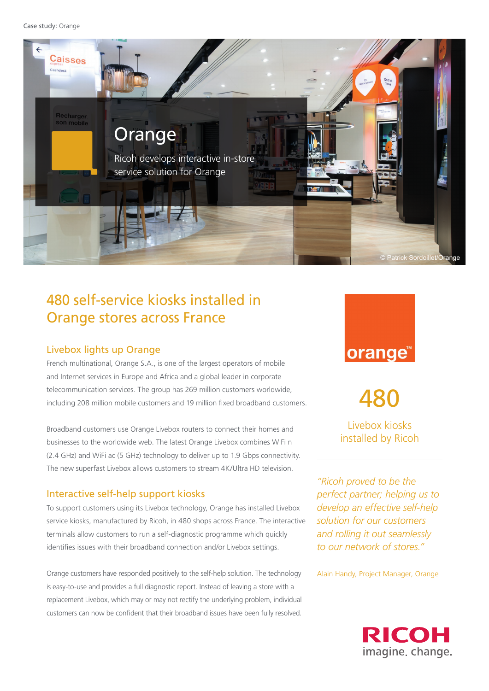```
Case study: Orange
```


# 480 self-service kiosks installed in Orange stores across France

## Livebox lights up Orange

French multinational, Orange S.A., is one of the largest operators of mobile and Internet services in Europe and Africa and a global leader in corporate telecommunication services. The group has 269 million customers worldwide, including 208 million mobile customers and 19 million fixed broadband customers.

Broadband customers use Orange Livebox routers to connect their homes and businesses to the worldwide web. The latest Orange Livebox combines WiFi n (2.4 GHz) and WiFi ac (5 GHz) technology to deliver up to 1.9 Gbps connectivity. The new superfast Livebox allows customers to stream 4K/Ultra HD television.

## Interactive self-help support kiosks

To support customers using its Livebox technology, Orange has installed Livebox service kiosks, manufactured by Ricoh, in 480 shops across France. The interactive terminals allow customers to run a self-diagnostic programme which quickly identifies issues with their broadband connection and/or Livebox settings.

Orange customers have responded positively to the self-help solution. The technology is easy-to-use and provides a full diagnostic report. Instead of leaving a store with a replacement Livebox, which may or may not rectify the underlying problem, individual customers can now be confident that their broadband issues have been fully resolved.



480

Livebox kiosks installed by Ricoh

*"Ricoh proved to be the perfect partner; helping us to develop an effective self-help solution for our customers and rolling it out seamlessly to our network of stores."*

Alain Handy, Project Manager, Orange